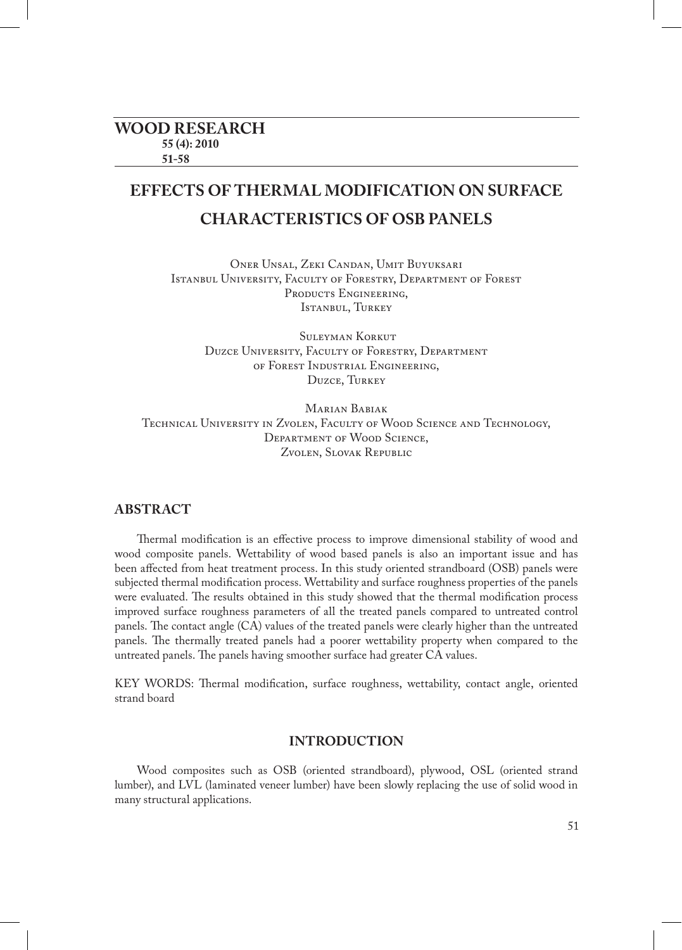# **EFFECTS OF THERMAL MODIFICATION ON SURFACE CHARACTERISTICS OF OSB PANELS**

Oner Unsal, Zeki Candan, Umit Buyuksari Istanbul University, Faculty of Forestry, Department of Forest PRODUCTS ENGINEERING. Istanbul, Turkey

 Suleyman Korkut Duzce University, Faculty of Forestry, Department of Forest Industrial Engineering, Duzce, Turkey

Marian Babiak Technical University in Zvolen, Faculty of Wood Science and Technology, Department of Wood Science, Zvolen, Slovak Republic

## **ABSTRACT**

Thermal modification is an effective process to improve dimensional stability of wood and wood composite panels. Wettability of wood based panels is also an important issue and has been affected from heat treatment process. In this study oriented strandboard (OSB) panels were subjected thermal modification process. Wettability and surface roughness properties of the panels were evaluated. The results obtained in this study showed that the thermal modification process improved surface roughness parameters of all the treated panels compared to untreated control panels. The contact angle (CA) values of the treated panels were clearly higher than the untreated panels. The thermally treated panels had a poorer wettability property when compared to the untreated panels. The panels having smoother surface had greater CA values.

KEY WORDS: Thermal modification, surface roughness, wettability, contact angle, oriented strand board

### **INTRODUCTION**

Wood composites such as OSB (oriented strandboard), plywood, OSL (oriented strand lumber), and LVL (laminated veneer lumber) have been slowly replacing the use of solid wood in many structural applications.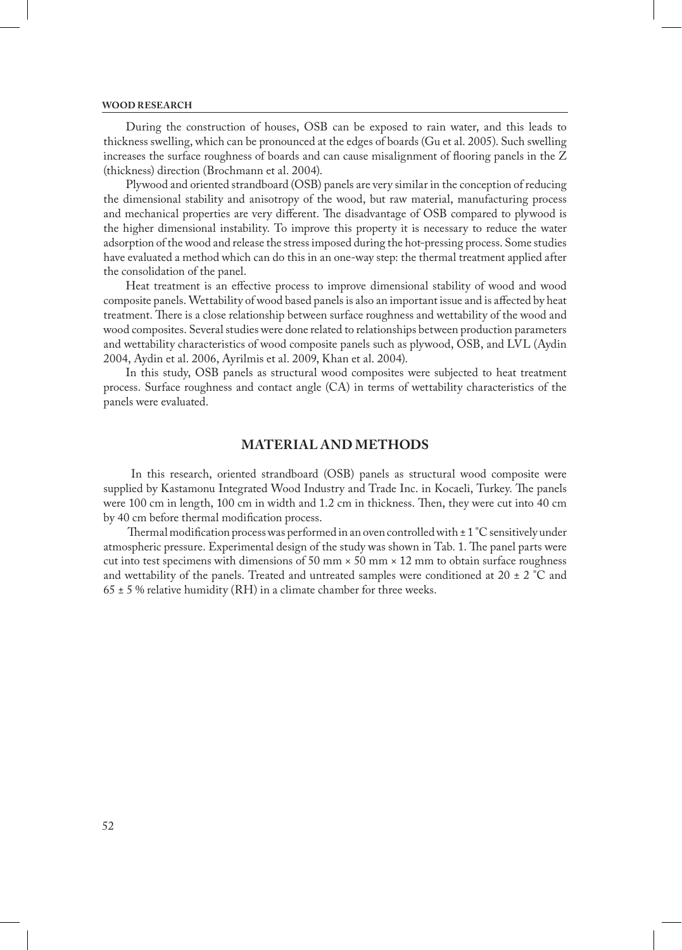#### **WOOD RESEARCH**

During the construction of houses, OSB can be exposed to rain water, and this leads to thickness swelling, which can be pronounced at the edges of boards (Gu et al. 2005). Such swelling increases the surface roughness of boards and can cause misalignment of flooring panels in the Z (thickness) direction (Brochmann et al. 2004).

Plywood and oriented strandboard (OSB) panels are very similar in the conception of reducing the dimensional stability and anisotropy of the wood, but raw material, manufacturing process and mechanical properties are very different. The disadvantage of OSB compared to plywood is the higher dimensional instability. To improve this property it is necessary to reduce the water adsorption of the wood and release the stress imposed during the hot-pressing process. Some studies have evaluated a method which can do this in an one-way step: the thermal treatment applied after the consolidation of the panel.

Heat treatment is an effective process to improve dimensional stability of wood and wood composite panels. Wettability of wood based panels is also an important issue and is affected by heat treatment. There is a close relationship between surface roughness and wettability of the wood and wood composites. Several studies were done related to relationships between production parameters and wettability characteristics of wood composite panels such as plywood, OSB, and LVL (Aydin 2004, Aydin et al. 2006, Ayrilmis et al. 2009, Khan et al. 2004).

In this study, OSB panels as structural wood composites were subjected to heat treatment process. Surface roughness and contact angle (CA) in terms of wettability characteristics of the panels were evaluated.

### **MATERIAL AND METHODS**

 In this research, oriented strandboard (OSB) panels as structural wood composite were supplied by Kastamonu Integrated Wood Industry and Trade Inc. in Kocaeli, Turkey. The panels were 100 cm in length, 100 cm in width and 1.2 cm in thickness. Then, they were cut into 40 cm by 40 cm before thermal modification process.

Thermal modification process was performed in an oven controlled with  $\pm 1$  °C sensitively under atmospheric pressure. Experimental design of the study was shown in Tab. 1. The panel parts were cut into test specimens with dimensions of 50 mm  $\times$  50 mm  $\times$  12 mm to obtain surface roughness and wettability of the panels. Treated and untreated samples were conditioned at 20  $\pm$  2  $\degree$ C and  $65 \pm 5$  % relative humidity (RH) in a climate chamber for three weeks.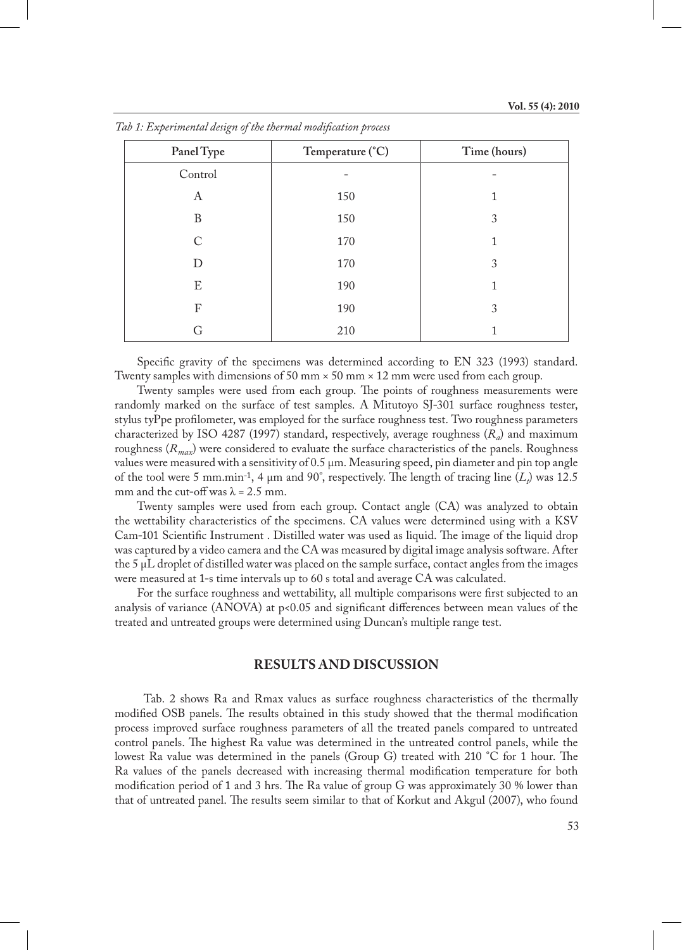| Panel Type | Temperature (°C) | Time (hours) |
|------------|------------------|--------------|
| Control    |                  |              |
| A          | 150              |              |
| B          | 150              | 3            |
| $\subset$  | 170              |              |
| D          | 170              | 3            |
| E          | 190              |              |
| F          | 190              | 3            |
|            | 210              |              |

*Tab 1: Experimental design of the thermal modification process*

Specific gravity of the specimens was determined according to EN 323 (1993) standard. Twenty samples with dimensions of 50 mm  $\times$  50 mm  $\times$  12 mm were used from each group.

Twenty samples were used from each group. The points of roughness measurements were randomly marked on the surface of test samples. A Mitutoyo SJ-301 surface roughness tester, stylus tyPpe profilometer, was employed for the surface roughness test. Two roughness parameters characterized by ISO 4287 (1997) standard, respectively, average roughness (*Ra*) and maximum roughness (*Rmax*) were considered to evaluate the surface characteristics of the panels. Roughness values were measured with a sensitivity of 0.5 μm. Measuring speed, pin diameter and pin top angle of the tool were 5 mm.min<sup>-1</sup>, 4  $\mu$ m and 90°, respectively. The length of tracing line  $(L_t)$  was 12.5 mm and the cut-off was  $\lambda = 2.5$  mm.

Twenty samples were used from each group. Contact angle (CA) was analyzed to obtain the wettability characteristics of the specimens. CA values were determined using with a KSV Cam-101 Scientific Instrument . Distilled water was used as liquid. The image of the liquid drop was captured by a video camera and the CA was measured by digital image analysis software. After the 5 μL droplet of distilled water was placed on the sample surface, contact angles from the images were measured at 1-s time intervals up to 60 s total and average CA was calculated.

For the surface roughness and wettability, all multiple comparisons were first subjected to an analysis of variance (ANOVA) at  $p<sub>0.05</sub>$  and significant differences between mean values of the treated and untreated groups were determined using Duncan's multiple range test.

### **RESULTS AND DISCUSSION**

Tab. 2 shows Ra and Rmax values as surface roughness characteristics of the thermally modified OSB panels. The results obtained in this study showed that the thermal modification process improved surface roughness parameters of all the treated panels compared to untreated control panels. The highest Ra value was determined in the untreated control panels, while the lowest Ra value was determined in the panels (Group G) treated with 210 °C for 1 hour. The Ra values of the panels decreased with increasing thermal modification temperature for both modification period of 1 and 3 hrs. The Ra value of group G was approximately 30 % lower than that of untreated panel. The results seem similar to that of Korkut and Akgul (2007), who found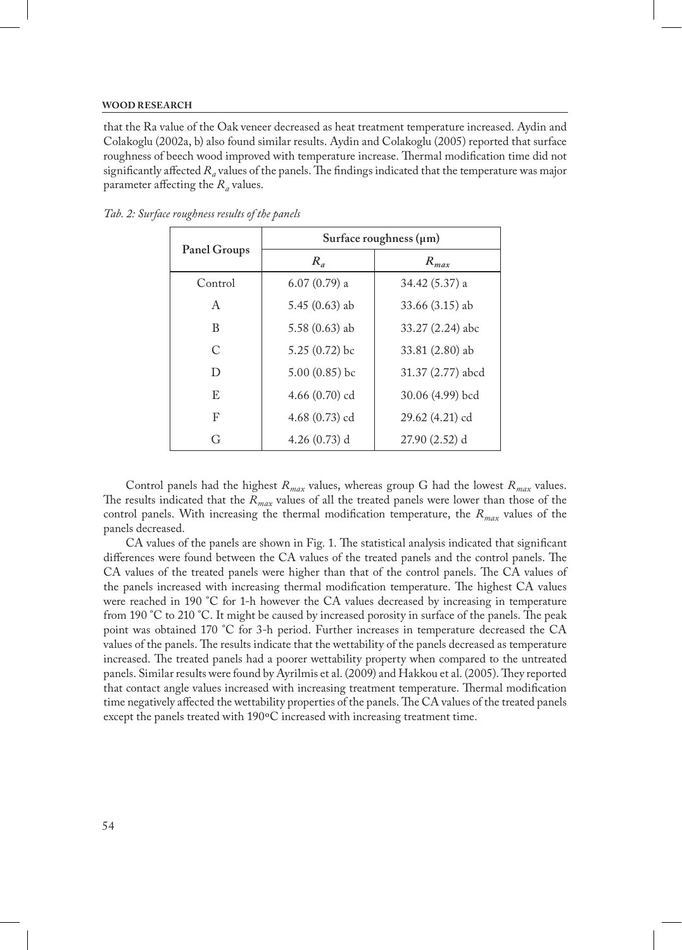#### **WOOD RESEARCH**

that the Ra value of the Oak veneer decreased as heat treatment temperature increased. Aydin and Colakoglu (2002a, b) also found similar results. Aydin and Colakoglu (2005) reported that surface roughness of beech wood improved with temperature increase. Thermal modification time did not significantly affected  $R_a$  values of the panels. The findings indicated that the temperature was major parameter affecting the *Ra* values.

| Panel Groups  | Surface roughness $(\mu m)$ |                   |
|---------------|-----------------------------|-------------------|
|               | $R_a$                       | $R_{max}$         |
| Control       | $6.07(0.79)$ a              | 34.42 (5.37) a    |
| A             | $5.45(0.63)$ ab             | $33.66(3.15)$ ab  |
| B             | $5.58(0.63)$ ab             | 33.27 (2.24) abc  |
| $\mathcal{C}$ | $5.25(0.72)$ bc             | 33.81 (2.80) ab   |
| D             | $5.00(0.85)$ bc             | 31.37 (2.77) abcd |
| E             | 4.66 $(0.70)$ cd            | 30.06 (4.99) bcd  |
| F             | 4.68 $(0.73)$ cd            | 29.62 (4.21) cd   |
| G             | $4.26(0.73)$ d              | $27.90(2.52)$ d   |

*Tab. 2: Surface roughness results of the panels*

Control panels had the highest  $R_{max}$  values, whereas group G had the lowest  $R_{max}$  values. The results indicated that the *Rmax* values of all the treated panels were lower than those of the control panels. With increasing the thermal modification temperature, the *Rmax* values of the panels decreased.

CA values of the panels are shown in Fig. 1. The statistical analysis indicated that significant differences were found between the CA values of the treated panels and the control panels. The CA values of the treated panels were higher than that of the control panels. The CA values of the panels increased with increasing thermal modification temperature. The highest CA values were reached in 190 °C for 1-h however the CA values decreased by increasing in temperature from 190 °C to 210 °C. It might be caused by increased porosity in surface of the panels. The peak point was obtained 170 °C for 3-h period. Further increases in temperature decreased the CA values of the panels. The results indicate that the wettability of the panels decreased as temperature increased. The treated panels had a poorer wettability property when compared to the untreated panels. Similar results were found by Ayrilmis et al. (2009) and Hakkou et al. (2005). They reported that contact angle values increased with increasing treatment temperature. Thermal modification time negatively affected the wettability properties of the panels. The CA values of the treated panels except the panels treated with 190ºC increased with increasing treatment time.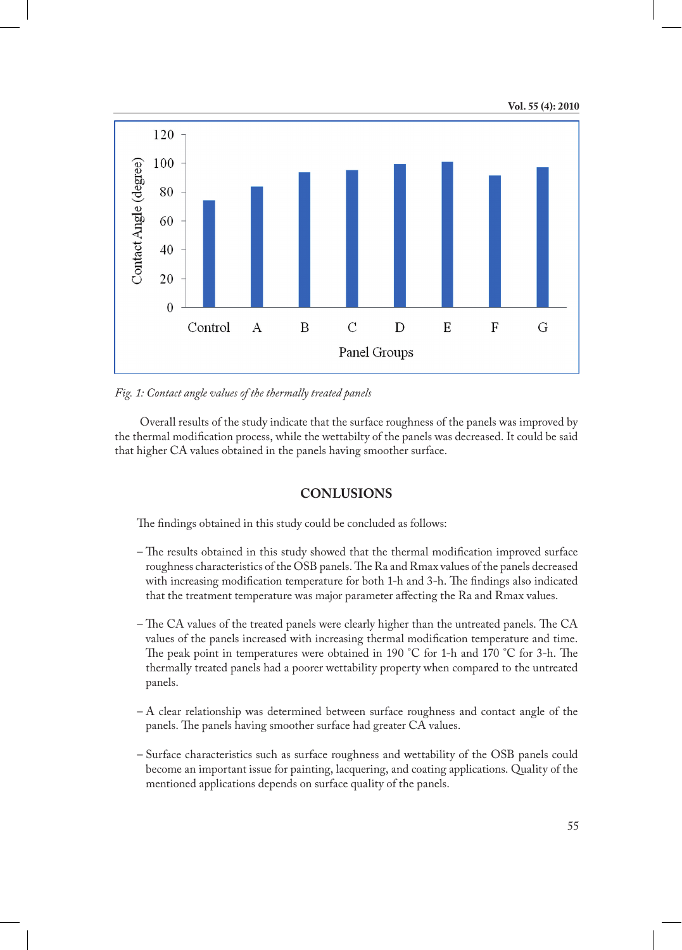### **Vol. 55 (4): 2010**



*Fig. 1: Contact angle values of the thermally treated panels*

 Overall results of the study indicate that the surface roughness of the panels was improved by the thermal modification process, while the wettabilty of the panels was decreased. It could be said that higher CA values obtained in the panels having smoother surface.

### **CONLUSIONS**

The findings obtained in this study could be concluded as follows:

- The results obtained in this study showed that the thermal modification improved surface roughness characteristics of the OSB panels. The Ra and Rmax values of the panels decreased with increasing modification temperature for both 1-h and 3-h. The findings also indicated that the treatment temperature was major parameter affecting the Ra and Rmax values.
- The CA values of the treated panels were clearly higher than the untreated panels. The CA values of the panels increased with increasing thermal modification temperature and time. The peak point in temperatures were obtained in 190 °C for 1-h and 170 °C for 3-h. The thermally treated panels had a poorer wettability property when compared to the untreated panels.
- A clear relationship was determined between surface roughness and contact angle of the panels. The panels having smoother surface had greater CA values.
- Surface characteristics such as surface roughness and wettability of the OSB panels could become an important issue for painting, lacquering, and coating applications. Quality of the mentioned applications depends on surface quality of the panels.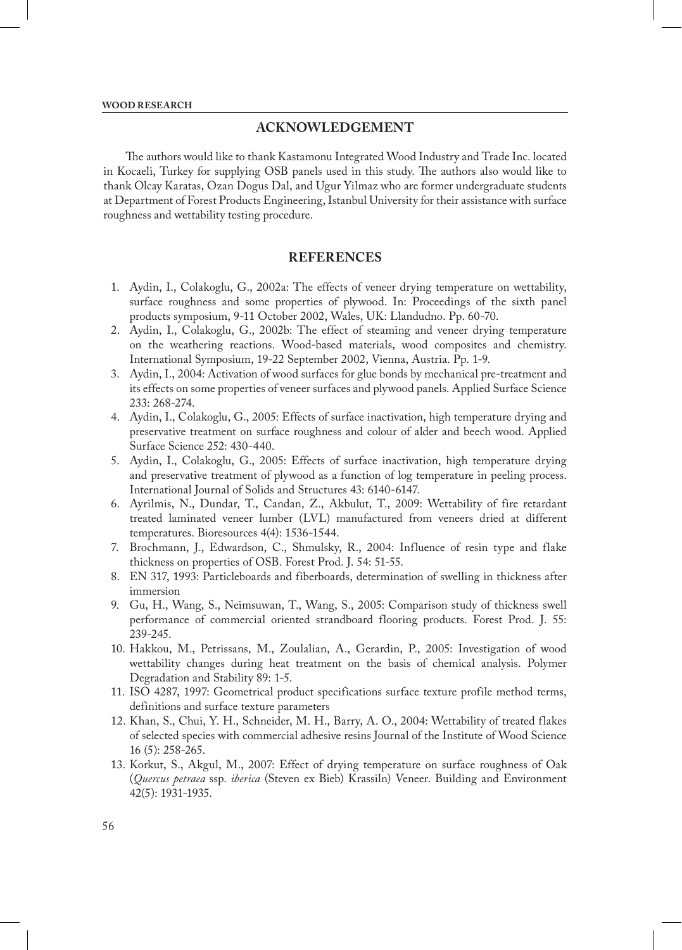## **ACKNOWLEDGEMENT**

The authors would like to thank Kastamonu Integrated Wood Industry and Trade Inc. located in Kocaeli, Turkey for supplying OSB panels used in this study. The authors also would like to thank Olcay Karatas, Ozan Dogus Dal, and Ugur Yilmaz who are former undergraduate students at Department of Forest Products Engineering, Istanbul University for their assistance with surface roughness and wettability testing procedure.

## **REFERENCES**

- 1. Aydin, I., Colakoglu, G., 2002a: The effects of veneer drying temperature on wettability, surface roughness and some properties of plywood. In: Proceedings of the sixth panel products symposium, 9-11 October 2002, Wales, UK: Llandudno. Pp. 60-70.
- 2. Aydin, I., Colakoglu, G., 2002b: The effect of steaming and veneer drying temperature on the weathering reactions. Wood-based materials, wood composites and chemistry. International Symposium, 19-22 September 2002, Vienna, Austria. Pp. 1-9.
- 3. Aydin, I., 2004: Activation of wood surfaces for glue bonds by mechanical pre-treatment and its effects on some properties of veneer surfaces and plywood panels. Applied Surface Science 233: 268-274.
- 4. Aydin, I., Colakoglu, G., 2005: Effects of surface inactivation, high temperature drying and preservative treatment on surface roughness and colour of alder and beech wood. Applied Surface Science 252: 430-440.
- 5. Aydin, I., Colakoglu, G., 2005: Effects of surface inactivation, high temperature drying and preservative treatment of plywood as a function of log temperature in peeling process. International Journal of Solids and Structures 43: 6140-6147.
- 6. Ayrilmis, N., Dundar, T., Candan, Z., Akbulut, T., 2009: Wettability of fire retardant treated laminated veneer lumber (LVL) manufactured from veneers dried at different temperatures. Bioresources 4(4): 1536-1544.
- 7. Brochmann, J., Edwardson, C., Shmulsky, R., 2004: Influence of resin type and flake thickness on properties of OSB. Forest Prod. J. 54: 51-55.
- 8. EN 317, 1993: Particleboards and fiberboards, determination of swelling in thickness after immersion
- 9. Gu, H., Wang, S., Neimsuwan, T., Wang, S., 2005: Comparison study of thickness swell performance of commercial oriented strandboard flooring products. Forest Prod. J. 55: 239-245.
- 10. Hakkou, M., Petrissans, M., Zoulalian, A., Gerardin, P., 2005: Investigation of wood wettability changes during heat treatment on the basis of chemical analysis. Polymer Degradation and Stability 89: 1-5.
- 11. ISO 4287, 1997: Geometrical product specifications surface texture profile method terms, definitions and surface texture parameters
- 12. Khan, S., Chui, Y. H., Schneider, M. H., Barry, A. O., 2004: Wettability of treated flakes of selected species with commercial adhesive resins Journal of the Institute of Wood Science 16 (5): 258-265.
- 13. Korkut, S., Akgul, M., 2007: Effect of drying temperature on surface roughness of Oak (*Quercus petraea* ssp. *iberica* (Steven ex Bieb) Krassiln) Veneer. Building and Environment 42(5): 1931-1935.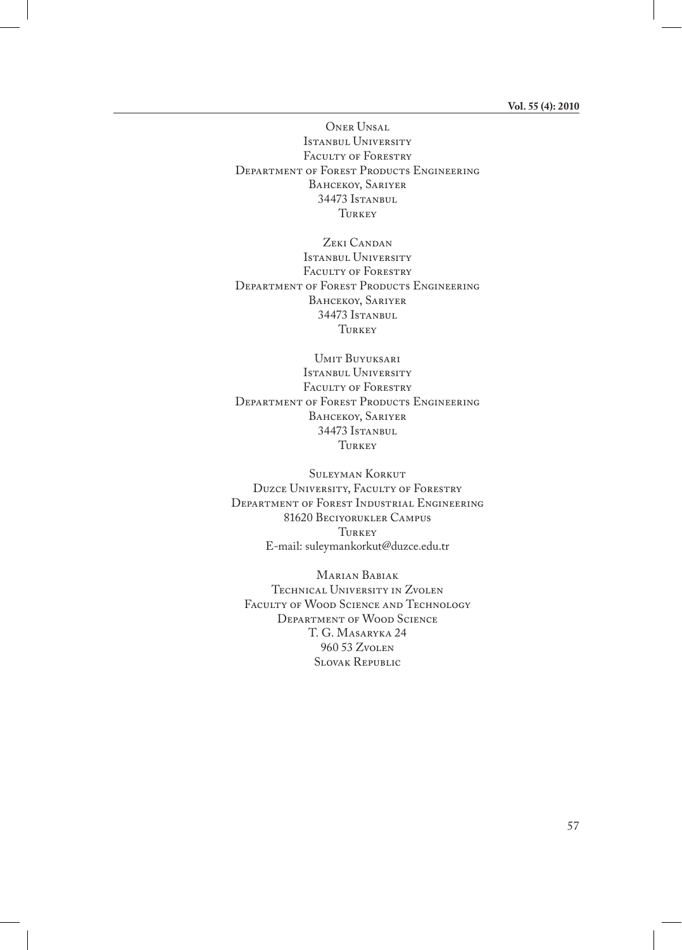Oner Unsal Istanbul University FACULTY OF FORESTRY DEPARTMENT OF FOREST PRODUCTS ENGINEERING BAHCEKOY, SARIYER 34473 Istanbul TURKEY

ZEKI CANDAN Istanbul University FACULTY OF FORESTRY DEPARTMENT OF FOREST PRODUCTS ENGINEERING BAHCEKOY, SARIYER 34473 Istanbul Turkey

Umit Buyuksari Istanbul University FACULTY OF FORESTRY DEPARTMENT OF FOREST PRODUCTS ENGINEERING BAHCEKOY, SARIYER 34473 Istanbul Turkey

Suleyman Korkut Duzce University, Faculty of Forestry Department of Forest Industrial Engineering 81620 Beciyorukler Campus TURKEY E-mail: suleymankorkut@duzce.edu.tr

Marian Babiak Technical University in Zvolen FACULTY OF WOOD SCIENCE AND TECHNOLOGY Department of Wood Science T. G. Masaryka 24 960 53 Zvolen Slovak Republic